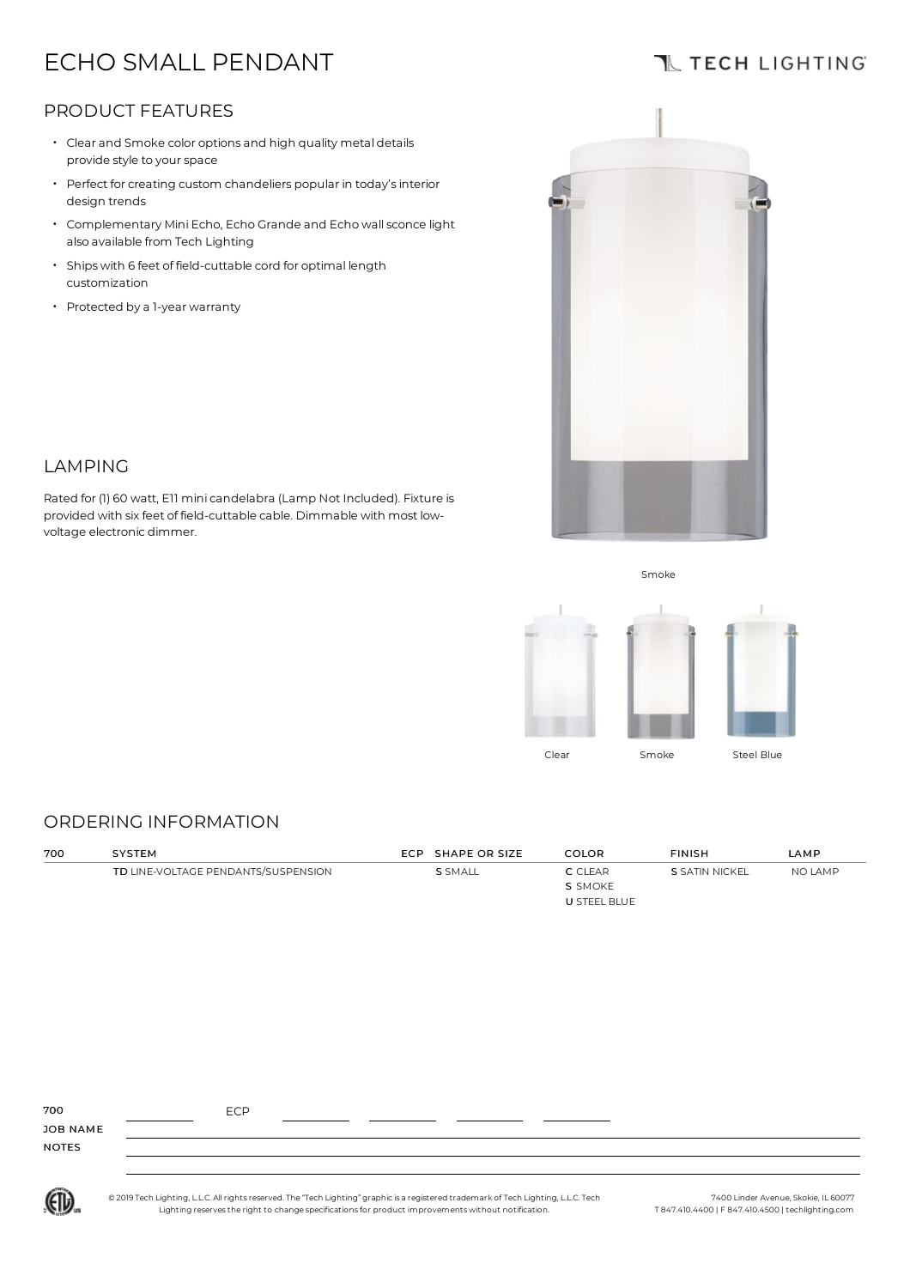# ECHO SMALL PENDANT

# **TL TECH LIGHTING**

## PRODUCT FEATURES

- Clear and Smoke color options and high quality metal details provide style to your space
- Perfect for creating custom chandeliers popular in today's interior design trends
- Complementary Mini Echo, Echo Grande and Echo wallsconce light also available from Tech Lighting
- Ships with 6 feet of field-cuttable cord for optimal length customization
- Protected by <sup>a</sup> 1-year warranty



### LAMPING

Rated for (1) 60 watt, E11 minicandelabra (Lamp Not Included). Fixture is provided with six feet of field-cuttable cable. Dimmable with most lowvoltage electronic dimmer.

Smoke



### ORDERING INFORMATION

| 700 | SYSTEM                              | ECP SHAPE OR SIZE | <b>COLOR</b> | <b>FINISH</b>  | LAMP    |
|-----|-------------------------------------|-------------------|--------------|----------------|---------|
|     | TD LINE-VOLTAGE PENDANTS/SUSPENSION | <b>S</b> SMALL    | C CLEAR      | S SATIN NICKEL | NO LAMP |
|     |                                     |                   | S SMOKE      |                |         |
|     |                                     |                   | U STEEL BLUE |                |         |

| 700<br>JOB NAME | <b>ECP</b> |  |
|-----------------|------------|--|
| <b>NOTES</b>    |            |  |
|                 |            |  |



© 2019 Tech Lighting, L.L.C. All rightsreserved.The "Tech Lighting" graphicis a registered trademark ofTech Lighting, L.L.C.Tech Lighting reservesthe right to change specificationsfor product improvements without notification.